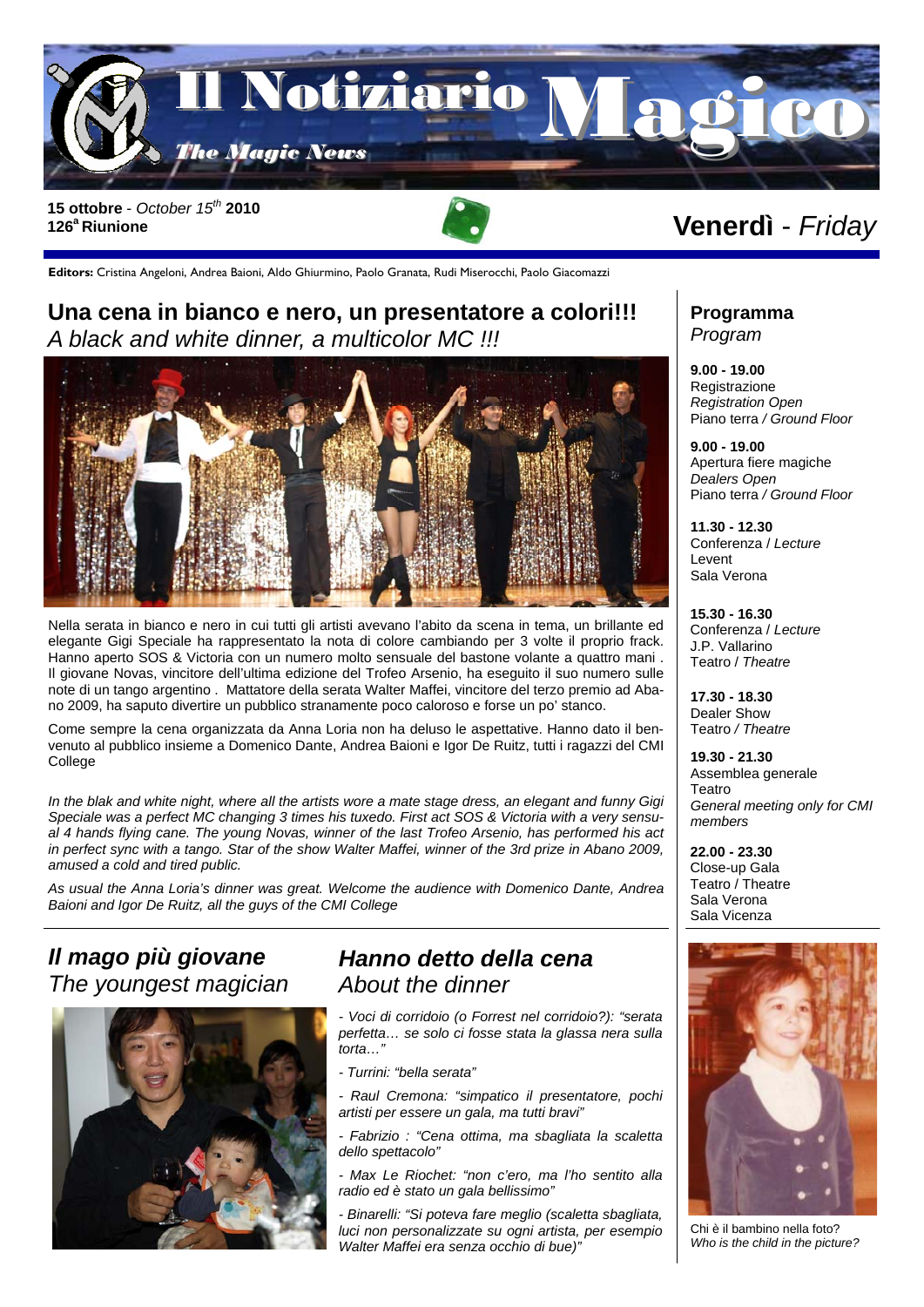

**126a Riunione** 

**Editors:** Cristina Angeloni, Andrea Baioni, Aldo Ghiurmino, Paolo Granata, Rudi Miserocchi, Paolo Giacomazzi

### **Una cena in bianco e nero, un presentatore a colori!!!**  *A black and white dinner, a multicolor MC !!!*



Nella serata in bianco e nero in cui tutti gli artisti avevano l'abito da scena in tema, un brillante ed elegante Gigi Speciale ha rappresentato la nota di colore cambiando per 3 volte il proprio frack. Hanno aperto SOS & Victoria con un numero molto sensuale del bastone volante a quattro mani . Il giovane Novas, vincitore dell'ultima edizione del Trofeo Arsenio, ha eseguito il suo numero sulle note di un tango argentino . Mattatore della serata Walter Maffei, vincitore del terzo premio ad Abano 2009, ha saputo divertire un pubblico stranamente poco caloroso e forse un po' stanco.

Come sempre la cena organizzata da Anna Loria non ha deluso le aspettative. Hanno dato il benvenuto al pubblico insieme a Domenico Dante, Andrea Baioni e Igor De Ruitz, tutti i ragazzi del CMI College

*In the blak and white night, where all the artists wore a mate stage dress, an elegant and funny Gigi Speciale was a perfect MC changing 3 times his tuxedo. First act SOS & Victoria with a very sensual 4 hands flying cane. The young Novas, winner of the last Trofeo Arsenio, has performed his act*  in perfect sync with a tango. Star of the show Walter Maffei, winner of the 3rd prize in Abano 2009, *amused a cold and tired public.* 

*As usual the Anna Loria's dinner was great. Welcome the audience with Domenico Dante, Andrea Baioni and Igor De Ruitz, all the guys of the CMI College* 

### *Il mago più giovane The youngest magician*



#### *Hanno detto della cena About the dinner*

*- Voci di corridoio (o Forrest nel corridoio?): "serata perfetta… se solo ci fosse stata la glassa nera sulla torta…"* 

*- Turrini: "bella serata"* 

*- Raul Cremona: "simpatico il presentatore, pochi artisti per essere un gala, ma tutti bravi"* 

*- Fabrizio : "Cena ottima, ma sbagliata la scaletta dello spettacolo"* 

*- Max Le Riochet: "non c'ero, ma l'ho sentito alla radio ed è stato un gala bellissimo"* 

*- Binarelli: "Si poteva fare meglio (scaletta sbagliata, luci non personalizzate su ogni artista, per esempio Walter Maffei era senza occhio di bue)"* 

# **Programma**

*Program* 

**9.00 - 19.00**  Registrazione *Registration Open*  Piano terra */ Ground Floor* 

**9.00 - 19.00**  Apertura fiere magiche *Dealers Open*  Piano terra */ Ground Floor* 

**11.30 - 12.30**  Conferenza / *Lecture* Levent Sala Verona

**15.30 - 16.30**  Conferenza / *Lecture* J.P. Vallarino Teatro / *Theatre* 

**17.30 - 18.30**  Dealer Show Teatro */ Theatre* 

**19.30 - 21.30**  Assemblea generale Teatro *General meeting only for CMI members* 

**22.00 - 23.30**  Close-up Gala Teatro / Theatre Sala Verona Sala Vicenza



Chi è il bambino nella foto? *Who is the child in the picture?*